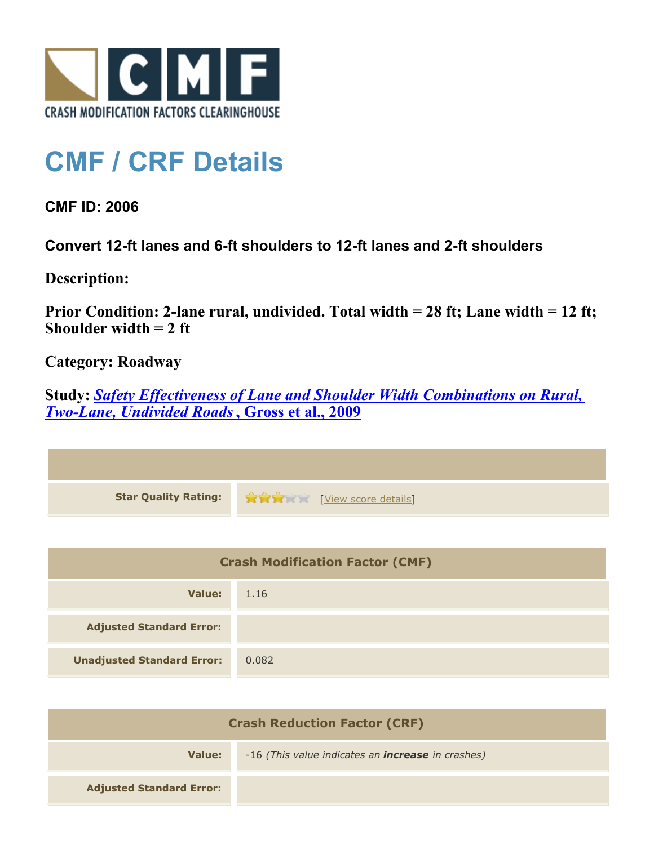

## **CMF / CRF Details**

**CMF ID: 2006**

**Convert 12-ft lanes and 6-ft shoulders to 12-ft lanes and 2-ft shoulders**

**Description:** 

**Prior Condition: 2-lane rural, undivided. Total width = 28 ft; Lane width = 12 ft; Shoulder width = 2 ft**

**Category: Roadway**

**Study:** *[Safety Effectiveness of Lane and Shoulder Width Combinations on Rural,](http://www.cmfclearinghouse.org/study_detail.cfm?stid=114) [Two-Lane, Undivided Roads](http://www.cmfclearinghouse.org/study_detail.cfm?stid=114)***[, Gross et al., 2009](http://www.cmfclearinghouse.org/study_detail.cfm?stid=114)**

| Star Quality Rating: 1999 [View score details] |
|------------------------------------------------|

| <b>Crash Modification Factor (CMF)</b> |       |
|----------------------------------------|-------|
| Value:                                 | 1.16  |
| <b>Adjusted Standard Error:</b>        |       |
| <b>Unadjusted Standard Error:</b>      | 0.082 |

| <b>Crash Reduction Factor (CRF)</b> |                                                          |
|-------------------------------------|----------------------------------------------------------|
| Value:                              | -16 (This value indicates an <b>increase</b> in crashes) |
| <b>Adjusted Standard Error:</b>     |                                                          |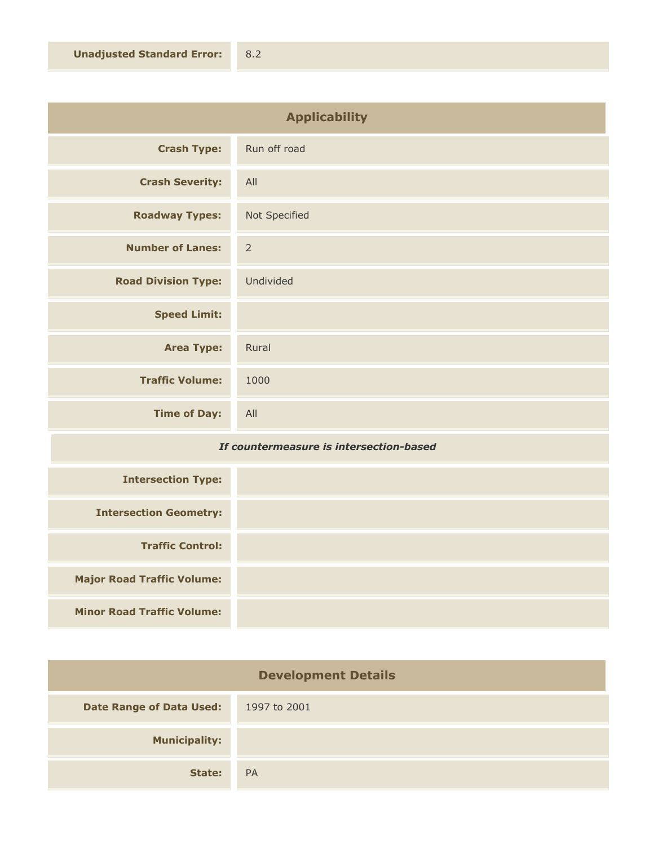| <b>Applicability</b>       |                |
|----------------------------|----------------|
| <b>Crash Type:</b>         | Run off road   |
| <b>Crash Severity:</b>     | All            |
| <b>Roadway Types:</b>      | Not Specified  |
| <b>Number of Lanes:</b>    | $\overline{2}$ |
| <b>Road Division Type:</b> | Undivided      |
| <b>Speed Limit:</b>        |                |
| <b>Area Type:</b>          | Rural          |
| <b>Traffic Volume:</b>     | 1000           |
| <b>Time of Day:</b>        | All            |

## *If countermeasure is intersection-based*

| <b>Intersection Type:</b>         |  |
|-----------------------------------|--|
| <b>Intersection Geometry:</b>     |  |
| <b>Traffic Control:</b>           |  |
| <b>Major Road Traffic Volume:</b> |  |
| <b>Minor Road Traffic Volume:</b> |  |

| <b>Development Details</b>      |              |
|---------------------------------|--------------|
| <b>Date Range of Data Used:</b> | 1997 to 2001 |
| <b>Municipality:</b>            |              |
| State:                          | <b>PA</b>    |